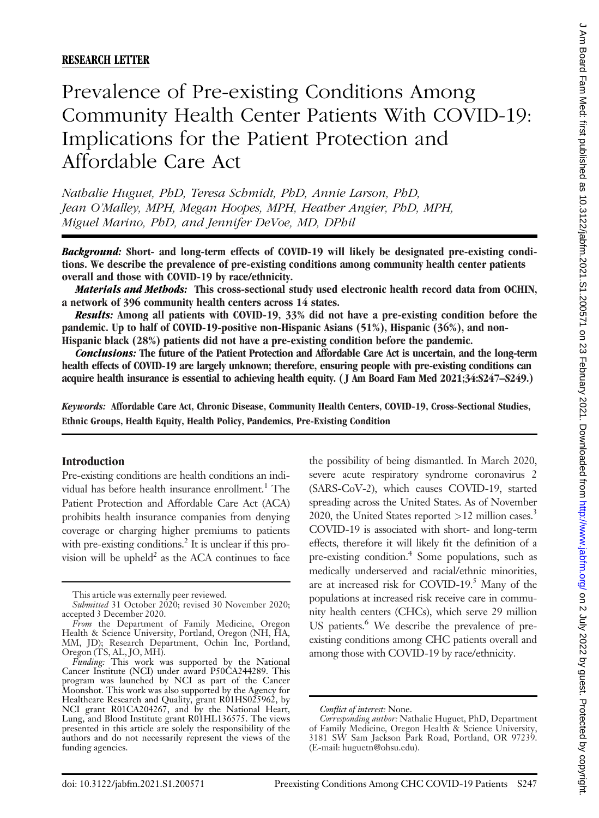# Prevalence of Pre-existing Conditions Among Community Health Center Patients With COVID-19: Implications for the Patient Protection and Affordable Care Act

Nathalie Huguet, PhD, Teresa Schmidt, PhD, Annie Larson, PhD, Jean O'Malley, MPH, Megan Hoopes, MPH, Heather Angier, PhD, MPH, Miguel Marino, PhD, and Jennifer DeVoe, MD, DPhil

Background: Short- and long-term effects of COVID-19 will likely be designated pre-existing conditions. We describe the prevalence of pre-existing conditions among community health center patients overall and those with COVID-19 by race/ethnicity.

Materials and Methods: This cross-sectional study used electronic health record data from OCHIN, a network of 396 community health centers across 14 states.

Results: Among all patients with COVID-19, 33% did not have a pre-existing condition before the pandemic. Up to half of COVID-19-positive non-Hispanic Asians (51%), Hispanic (36%), and non-Hispanic black (28%) patients did not have a pre-existing condition before the pandemic.

Conclusions: The future of the Patient Protection and Affordable Care Act is uncertain, and the long-term health effects of COVID-19 are largely unknown; therefore, ensuring people with pre-existing conditions can acquire health insurance is essential to achieving health equity. ( J Am Board Fam Med 2021;34:S247–S249.)

Keywords: Affordable Care Act, Chronic Disease, Community Health Centers, COVID-19, Cross-Sectional Studies, Ethnic Groups, Health Equity, Health Policy, Pandemics, Pre-Existing Condition

### Introduction

Pre-existing conditions are health conditions an individual has before health insurance enrollment.<sup>1</sup> The Patient Protection and Affordable Care Act (ACA) prohibits health insurance companies from denying coverage or charging higher premiums to patients with pre-existing conditions.<sup>2</sup> It is unclear if this provision will be upheld<sup>2</sup> as the ACA continues to face

the possibility of being dismantled. In March 2020, severe acute respiratory syndrome coronavirus 2 (SARS-CoV-2), which causes COVID-19, started spreading across the United States. As of November 2020, the United States reported  $>12$  million cases.<sup>3</sup> COVID-19 is associated with short- and long-term effects, therefore it will likely fit the definition of a pre-existing condition.<sup>4</sup> Some populations, such as medically underserved and racial/ethnic minorities, are at increased risk for COVID-19. $^5$  Many of the populations at increased risk receive care in community health centers (CHCs), which serve 29 million US patients.<sup>6</sup> We describe the prevalence of preexisting conditions among CHC patients overall and among those with COVID-19 by race/ethnicity.

This article was externally peer reviewed.

Submitted 31 October 2020; revised 30 November 2020; accepted 3 December 2020.

From the Department of Family Medicine, Oregon Health & Science University, Portland, Oregon (NH, HA, MM, JD); Research Department, Ochin Inc, Portland, Oregon (TS, AL, JO, MH).

Funding: This work was supported by the National Cancer Institute (NCI) under award P50CA244289. This program was launched by NCI as part of the Cancer Moonshot. This work was also supported by the Agency for Healthcare Research and Quality, grant R01HS025962, by NCI grant R01CA204267, and by the National Heart, Lung, and Blood Institute grant R01HL136575. The views presented in this article are solely the responsibility of the authors and do not necessarily represent the views of the funding agencies.

Conflict of interest: None.

Corresponding author: Nathalie Huguet, PhD, Department of Family Medicine, Oregon Health & Science University, 3181 SW Sam Jackson Park Road, Portland, OR 97239. (E-mail: [huguetn@ohsu.edu\)](mailto:huguetn@ohsu.edu).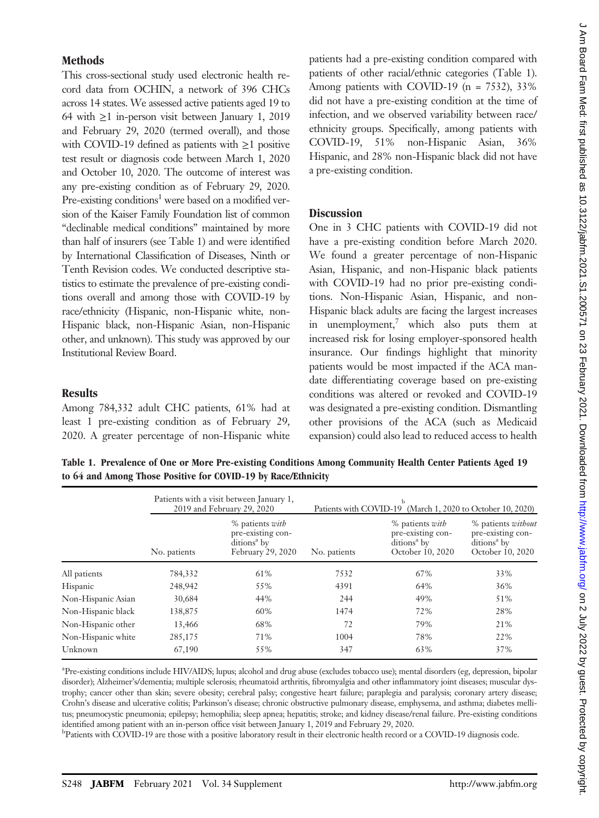## Methods

This cross-sectional study used electronic health record data from OCHIN, a network of 396 CHCs across 14 states. We assessed active patients aged 19 to 64 with ≥1 in-person visit between January 1, 2019 and February 29, 2020 (termed overall), and those with COVID-19 defined as patients with  $\geq$ 1 positive test result or diagnosis code between March 1, 2020 and October 10, 2020. The outcome of interest was any pre-existing condition as of February 29, 2020. Pre-existing conditions<sup>1</sup> were based on a modified version of the Kaiser Family Foundation list of common "declinable medical conditions" maintained by more than half of insurers (see Table 1) and were identified by International Classification of Diseases, Ninth or Tenth Revision codes. We conducted descriptive statistics to estimate the prevalence of pre-existing conditions overall and among those with COVID-19 by race/ethnicity (Hispanic, non-Hispanic white, non-Hispanic black, non-Hispanic Asian, non-Hispanic other, and unknown). This study was approved by our Institutional Review Board.

# **Results**

Among 784,332 adult CHC patients, 61% had at least 1 pre-existing condition as of February 29, 2020. A greater percentage of non-Hispanic white patients had a pre-existing condition compared with patients of other racial/ethnic categories (Table 1). Among patients with COVID-19 (n = 7532), 33% did not have a pre-existing condition at the time of infection, and we observed variability between race/ ethnicity groups. Specifically, among patients with COVID-19, 51% non-Hispanic Asian, 36% Hispanic, and 28% non-Hispanic black did not have a pre-existing condition.

## **Discussion**

One in 3 CHC patients with COVID-19 did not have a pre-existing condition before March 2020. We found a greater percentage of non-Hispanic Asian, Hispanic, and non-Hispanic black patients with COVID-19 had no prior pre-existing conditions. Non-Hispanic Asian, Hispanic, and non-Hispanic black adults are facing the largest increases in unemployment, which also puts them at increased risk for losing employer-sponsored health insurance. Our findings highlight that minority patients would be most impacted if the ACA mandate differentiating coverage based on pre-existing conditions was altered or revoked and COVID-19 was designated a pre-existing condition. Dismantling other provisions of the ACA (such as Medicaid expansion) could also lead to reduced access to health

Table 1. Prevalence of One or More Pre-existing Conditions Among Community Health Center Patients Aged 19 to 64 and Among Those Positive for COVID-19 by Race/Ethnicity

|                    | Patients with a visit between January 1,<br>2019 and February 29, 2020 |                                                                                      | Patients with COVID-19 (March 1, 2020 to October 10, 2020) |                                                                                            |                                                                                        |
|--------------------|------------------------------------------------------------------------|--------------------------------------------------------------------------------------|------------------------------------------------------------|--------------------------------------------------------------------------------------------|----------------------------------------------------------------------------------------|
|                    | No. patients                                                           | % patients with<br>pre-existing con-<br>ditions <sup>a</sup> by<br>February 29, 2020 | No. patients                                               | % patients <i>with</i><br>pre-existing con-<br>ditions <sup>a</sup> by<br>October 10, 2020 | % patients without<br>pre-existing con-<br>ditions <sup>a</sup> by<br>October 10, 2020 |
| All patients       | 784,332                                                                | 61%                                                                                  | 7532                                                       | 67%                                                                                        | 33%                                                                                    |
| Hispanic           | 248,942                                                                | 55%                                                                                  | 4391                                                       | 64%                                                                                        | 36%                                                                                    |
| Non-Hispanic Asian | 30,684                                                                 | 44%                                                                                  | 244                                                        | 49%                                                                                        | 51%                                                                                    |
| Non-Hispanic black | 138,875                                                                | 60%                                                                                  | 1474                                                       | 72%                                                                                        | 28%                                                                                    |
| Non-Hispanic other | 13,466                                                                 | 68%                                                                                  | 72                                                         | 79%                                                                                        | 21%                                                                                    |
| Non-Hispanic white | 285,175                                                                | 71%                                                                                  | 1004                                                       | 78%                                                                                        | 22%                                                                                    |
| Unknown            | 67,190                                                                 | 55%                                                                                  | 347                                                        | 63%                                                                                        | 37%                                                                                    |
|                    |                                                                        |                                                                                      |                                                            |                                                                                            |                                                                                        |

a Pre-existing conditions include HIV/AIDS; lupus; alcohol and drug abuse (excludes tobacco use); mental disorders (eg, depression, bipolar disorder); Alzheimer's/dementia; multiple sclerosis; rheumatoid arthritis, fibromyalgia and other inflammatory joint diseases; muscular dystrophy; cancer other than skin; severe obesity; cerebral palsy; congestive heart failure; paraplegia and paralysis; coronary artery disease; Crohn's disease and ulcerative colitis; Parkinson's disease; chronic obstructive pulmonary disease, emphysema, and asthma; diabetes mellitus; pneumocystic pneumonia; epilepsy; hemophilia; sleep apnea; hepatitis; stroke; and kidney disease/renal failure. Pre-existing conditions identified among patient with an in-person office visit between January 1, 2019 and February 29, 2020.

Patients with COVID-19 are those with a positive laboratory result in their electronic health record or a COVID-19 diagnosis code.